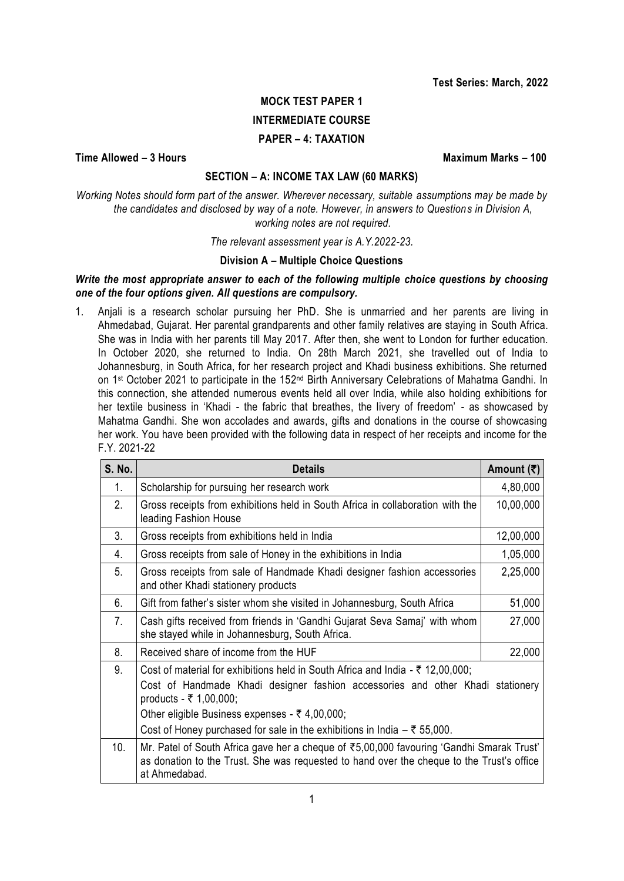# **MOCK TEST PAPER 1 INTERMEDIATE COURSE PAPER – 4: TAXATION**

**Time Allowed – 3 Hours Maximum Marks – 100**

# **SECTION – A: INCOME TAX LAW (60 MARKS)**

*Working Notes should form part of the answer. Wherever necessary, suitable assumptions may be made by the candidates and disclosed by way of a note. However, in answers to Questions in Division A, working notes are not required.*

*The relevant assessment year is A.Y.2022-23.*

# **Division A – Multiple Choice Questions**

# *Write the most appropriate answer to each of the following multiple choice questions by choosing one of the four options given. All questions are compulsory.*

1. Anjali is a research scholar pursuing her PhD. She is unmarried and her parents are living in Ahmedabad, Gujarat. Her parental grandparents and other family relatives are staying in South Africa. She was in India with her parents till May 2017. After then, she went to London for further education. In October 2020, she returned to India. On 28th March 2021, she travelled out of India to Johannesburg, in South Africa, for her research project and Khadi business exhibitions. She returned on 1<sup>st</sup> October 2021 to participate in the 152<sup>nd</sup> Birth Anniversary Celebrations of Mahatma Gandhi. In this connection, she attended numerous events held all over India, while also holding exhibitions for her textile business in 'Khadi - the fabric that breathes, the livery of freedom' - as showcased by Mahatma Gandhi. She won accolades and awards, gifts and donations in the course of showcasing her work. You have been provided with the following data in respect of her receipts and income for the F.Y. 2021-22

| <b>S. No.</b> | <b>Details</b>                                                                                                                                                                                                                                                                                                                                           | Amount (₹) |
|---------------|----------------------------------------------------------------------------------------------------------------------------------------------------------------------------------------------------------------------------------------------------------------------------------------------------------------------------------------------------------|------------|
| 1.            | Scholarship for pursuing her research work                                                                                                                                                                                                                                                                                                               | 4,80,000   |
| 2.            | Gross receipts from exhibitions held in South Africa in collaboration with the<br>leading Fashion House                                                                                                                                                                                                                                                  | 10,00,000  |
| 3.            | Gross receipts from exhibitions held in India                                                                                                                                                                                                                                                                                                            | 12,00,000  |
| 4.            | Gross receipts from sale of Honey in the exhibitions in India                                                                                                                                                                                                                                                                                            | 1,05,000   |
| 5.            | Gross receipts from sale of Handmade Khadi designer fashion accessories<br>and other Khadi stationery products                                                                                                                                                                                                                                           | 2,25,000   |
| 6.            | Gift from father's sister whom she visited in Johannesburg, South Africa                                                                                                                                                                                                                                                                                 | 51,000     |
| 7.            | Cash gifts received from friends in 'Gandhi Gujarat Seva Samaj' with whom<br>she stayed while in Johannesburg, South Africa.                                                                                                                                                                                                                             | 27,000     |
| 8.            | Received share of income from the HUF                                                                                                                                                                                                                                                                                                                    | 22,000     |
| 9.            | Cost of material for exhibitions held in South Africa and India - $\bar{\tau}$ 12,00,000;<br>Cost of Handmade Khadi designer fashion accessories and other Khadi stationery<br>products - ₹ 1,00,000;<br>Other eligible Business expenses - $\bar{\tau}$ 4,00,000;<br>Cost of Honey purchased for sale in the exhibitions in India $-\bar{\tau}$ 55,000. |            |
| 10.           | Mr. Patel of South Africa gave her a cheque of ₹5,00,000 favouring 'Gandhi Smarak Trust'<br>as donation to the Trust. She was requested to hand over the cheque to the Trust's office<br>at Ahmedabad.                                                                                                                                                   |            |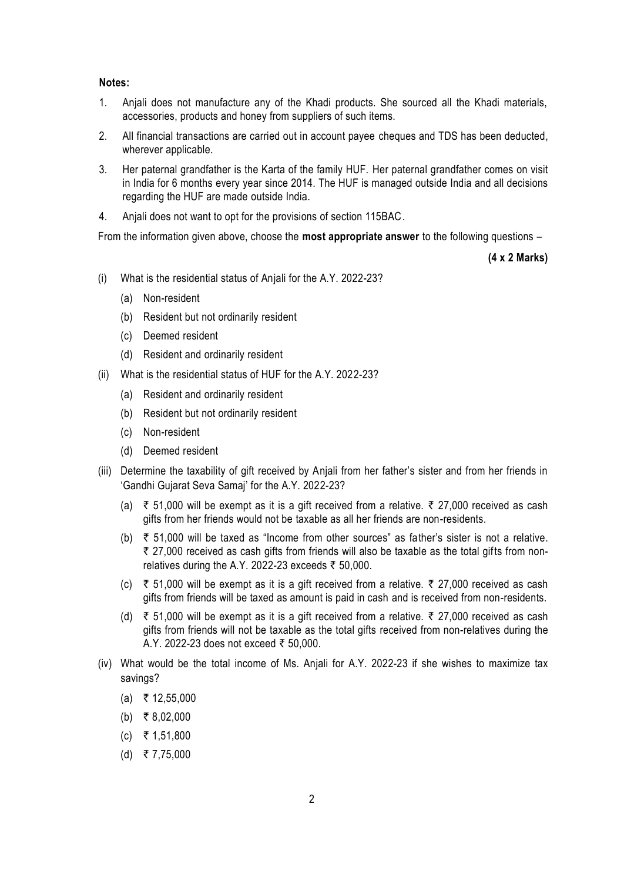#### **Notes:**

- 1. Anjali does not manufacture any of the Khadi products. She sourced all the Khadi materials, accessories, products and honey from suppliers of such items.
- 2. All financial transactions are carried out in account payee cheques and TDS has been deducted, wherever applicable.
- 3. Her paternal grandfather is the Karta of the family HUF. Her paternal grandfather comes on visit in India for 6 months every year since 2014. The HUF is managed outside India and all decisions regarding the HUF are made outside India.
- 4. Anjali does not want to opt for the provisions of section 115BAC.

From the information given above, choose the **most appropriate answer** to the following questions –

**(4 x 2 Marks)**

- (i) What is the residential status of Anjali for the A.Y. 2022-23?
	- (a) Non-resident
	- (b) Resident but not ordinarily resident
	- (c) Deemed resident
	- (d) Resident and ordinarily resident
- (ii) What is the residential status of HUF for the A.Y. 2022-23?
	- (a) Resident and ordinarily resident
	- (b) Resident but not ordinarily resident
	- (c) Non-resident
	- (d) Deemed resident
- (iii) Determine the taxability of gift received by Anjali from her father's sister and from her friends in 'Gandhi Gujarat Seva Samaj' for the A.Y. 2022-23?
	- (a) ₹ 51,000 will be exempt as it is a gift received from a relative. ₹ 27,000 received as cash gifts from her friends would not be taxable as all her friends are non-residents.
	- (b)  $\overline{\tau}$  51,000 will be taxed as "Income from other sources" as father's sister is not a relative.  $\bar{\tau}$  27,000 received as cash gifts from friends will also be taxable as the total gifts from nonrelatives during the A.Y. 2022-23 exceeds  $\bar{z}$  50,000.
	- (c) ₹ 51,000 will be exempt as it is a gift received from a relative. ₹ 27,000 received as cash gifts from friends will be taxed as amount is paid in cash and is received from non-residents.
	- (d)  $\overline{\xi}$  51,000 will be exempt as it is a gift received from a relative.  $\overline{\xi}$  27,000 received as cash gifts from friends will not be taxable as the total gifts received from non-relatives during the A.Y. 2022-23 does not exceed ₹ 50,000.
- (iv) What would be the total income of Ms. Anjali for A.Y. 2022-23 if she wishes to maximize tax savings?
	- $(a) \; \; \; \bar{\bar{\tau}}$  12,55,000
	- $(b)$  ₹ 8,02,000
	- $(c)$  ₹ 1,51,800
	- $(d)$  ₹ 7,75,000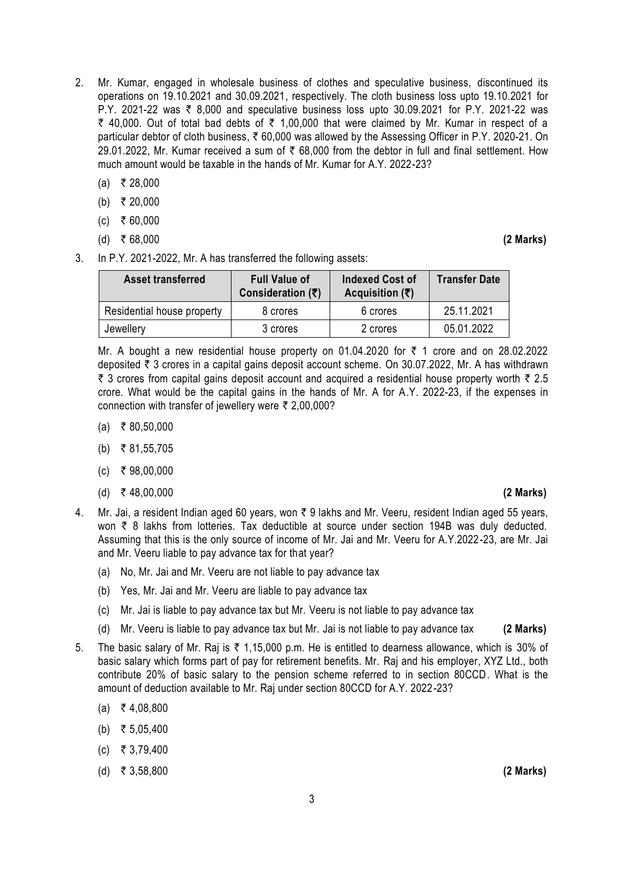- 2. Mr. Kumar, engaged in wholesale business of clothes and speculative business, discontinued its operations on 19.10.2021 and 30.09.2021, respectively. The cloth business loss upto 19.10.2021 for P.Y. 2021-22 was ₹ 8,000 and speculative business loss upto 30.09.2021 for P.Y. 2021-22 was  $\bar{\tau}$  40,000. Out of total bad debts of  $\bar{\tau}$  1,00,000 that were claimed by Mr. Kumar in respect of a particular debtor of cloth business, ₹ 60,000 was allowed by the Assessing Officer in P.Y. 2020-21. On 29.01.2022, Mr. Kumar received a sum of  $\bar{\tau}$  68,000 from the debtor in full and final settlement. How much amount would be taxable in the hands of Mr. Kumar for A.Y. 2022-23?
	- $(a)$  ₹ 28,000
	- (b) ₹ 20,000
	- $(c)$  ₹ 60,000
	- (d) ₹68.000 **(2 Marks)**

3. In P.Y. 2021-2022, Mr. A has transferred the following assets:

| <b>Asset transferred</b>   | <b>Full Value of</b><br>Consideration $(5)$ | Indexed Cost of<br>Acquisition $(\bar{\tau})$ | <b>Transfer Date</b> |
|----------------------------|---------------------------------------------|-----------------------------------------------|----------------------|
| Residential house property | 8 crores                                    | 6 crores                                      | 25.11.2021           |
| Jewellery                  | 3 crores                                    | 2 crores                                      | 05.01.2022           |

Mr. A bought a new residential house property on 01.04.2020 for  $\bar{\tau}$  1 crore and on 28.02.2022 deposited  $\bar{\tau}$  3 crores in a capital gains deposit account scheme. On 30.07.2022, Mr. A has withdrawn  $\bar{\tau}$  3 crores from capital gains deposit account and acquired a residential house property worth  $\bar{\tau}$  2.5 crore. What would be the capital gains in the hands of Mr. A for A.Y. 2022-23, if the expenses in connection with transfer of jewellery were  $\bar{\tau}$  2,00,000?

- $(a) \t3 80,50,000$
- (b) ₹ 81,55,705
- $(c)$  ₹ 98,00,000
- (d) ` 48,00,000 **(2 Marks)**
- 4. Mr. Jai, a resident Indian aged 60 years, won  $\bar{\tau}$  9 lakhs and Mr. Veeru, resident Indian aged 55 years, won ₹ 8 lakhs from lotteries. Tax deductible at source under section 194B was duly deducted. Assuming that this is the only source of income of Mr. Jai and Mr. Veeru for A.Y.2022-23, are Mr. Jai and Mr. Veeru liable to pay advance tax for that year?
	- (a) No, Mr. Jai and Mr. Veeru are not liable to pay advance tax
	- (b) Yes, Mr. Jai and Mr. Veeru are liable to pay advance tax
	- (c) Mr. Jai is liable to pay advance tax but Mr. Veeru is not liable to pay advance tax
	- (d) Mr. Veeru is liable to pay advance tax but Mr. Jai is not liable to pay advance tax **(2 Marks)**
- 5. The basic salary of Mr. Raj is  $\overline{\zeta}$  1,15,000 p.m. He is entitled to dearness allowance, which is 30% of basic salary which forms part of pay for retirement benefits. Mr. Raj and his employer, XYZ Ltd., both contribute 20% of basic salary to the pension scheme referred to in section 80CCD. What is the amount of deduction available to Mr. Raj under section 80CCD for A.Y. 2022-23?
	- $(a) \t{7} 4,08,800$
	- (b) ₹ 5,05,400
	- $(c)$  ₹ 3,79,400
	- (d) ` 3,58,800 **(2 Marks)**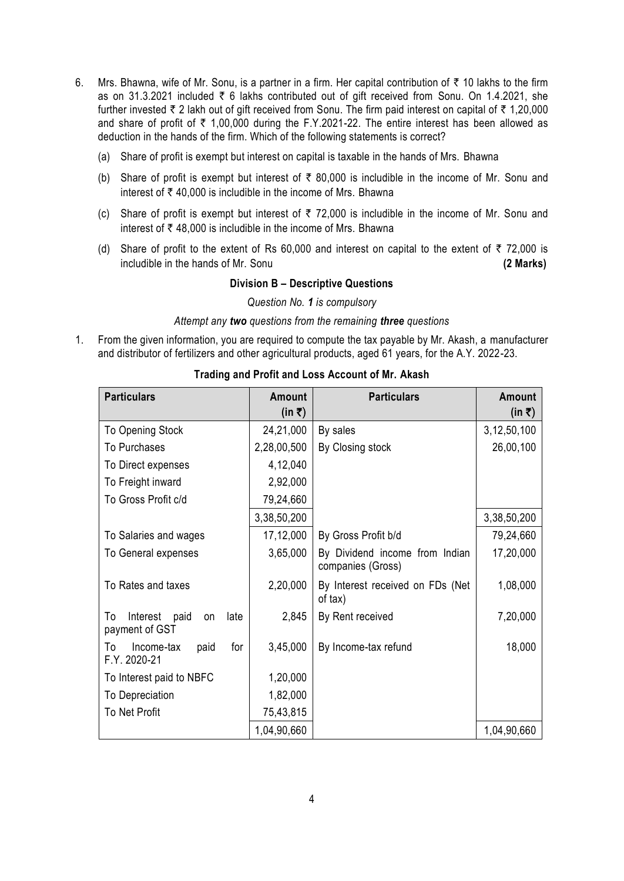- 6. Mrs. Bhawna, wife of Mr. Sonu, is a partner in a firm. Her capital contribution of  $\bar{\tau}$  10 lakhs to the firm as on 31.3.2021 included  $\bar{\tau}$  6 lakhs contributed out of gift received from Sonu. On 1.4.2021, she further invested  $\bar{\tau}$  2 lakh out of gift received from Sonu. The firm paid interest on capital of  $\bar{\tau}$  1,20,000 and share of profit of  $\bar{\tau}$  1,00,000 during the F.Y.2021-22. The entire interest has been allowed as deduction in the hands of the firm. Which of the following statements is correct?
	- (a) Share of profit is exempt but interest on capital is taxable in the hands of Mrs. Bhawna
	- (b) Share of profit is exempt but interest of  $\bar{\tau}$  80,000 is includible in the income of Mr. Sonu and interest of  $\bar{\tau}$  40,000 is includible in the income of Mrs. Bhawna
	- (c) Share of profit is exempt but interest of  $\overline{\tau}$  72,000 is includible in the income of Mr. Sonu and interest of  $\bar{\tau}$  48,000 is includible in the income of Mrs. Bhawna
	- (d) Share of profit to the extent of Rs 60,000 and interest on capital to the extent of  $\bar{\tau}$  72,000 is includible in the hands of Mr. Sonu **(2 Marks)**

#### **Division B – Descriptive Questions**

*Question No. 1 is compulsory*

#### *Attempt any two questions from the remaining three questions*

1. From the given information, you are required to compute the tax payable by Mr. Akash, a manufacturer and distributor of fertilizers and other agricultural products, aged 61 years, for the A.Y. 2022-23.

| <b>Particulars</b>                                            | <b>Amount</b><br>(in ₹) | <b>Particulars</b>                                  | <b>Amount</b><br>(in ₹) |
|---------------------------------------------------------------|-------------------------|-----------------------------------------------------|-------------------------|
| To Opening Stock                                              | 24,21,000               | By sales                                            | 3,12,50,100             |
| To Purchases                                                  | 2,28,00,500             | By Closing stock                                    | 26,00,100               |
| To Direct expenses                                            | 4,12,040                |                                                     |                         |
| To Freight inward                                             | 2,92,000                |                                                     |                         |
| To Gross Profit c/d                                           | 79,24,660               |                                                     |                         |
|                                                               | 3,38,50,200             |                                                     | 3,38,50,200             |
| To Salaries and wages                                         | 17,12,000               | By Gross Profit b/d                                 | 79,24,660               |
| To General expenses                                           | 3,65,000                | By Dividend income from Indian<br>companies (Gross) | 17,20,000               |
| To Rates and taxes                                            | 2,20,000                | By Interest received on FDs (Net<br>of tax)         | 1,08,000                |
| Interest<br>To<br>paid<br>late<br><b>on</b><br>payment of GST | 2,845                   | By Rent received                                    | 7,20,000                |
| Income-tax<br>for<br>To<br>paid<br>F.Y. 2020-21               | 3,45,000                | By Income-tax refund                                | 18,000                  |
| To Interest paid to NBFC                                      | 1,20,000                |                                                     |                         |
| To Depreciation                                               | 1,82,000                |                                                     |                         |
| To Net Profit                                                 | 75,43,815               |                                                     |                         |
|                                                               | 1,04,90,660             |                                                     | 1,04,90,660             |

#### **Trading and Profit and Loss Account of Mr. Akash**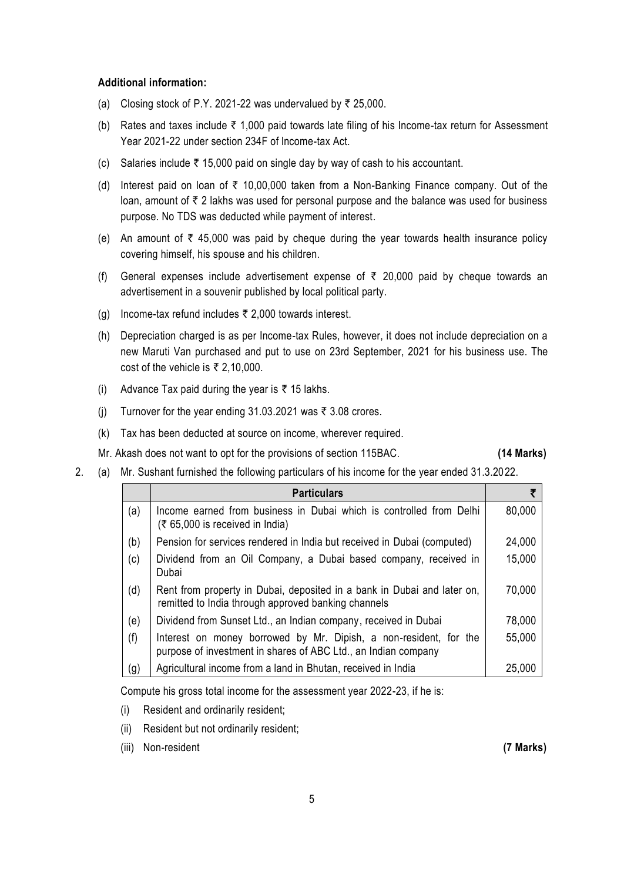#### **Additional information:**

- (a) Closing stock of P.Y. 2021-22 was undervalued by  $\bar{\tau}$  25,000.
- (b) Rates and taxes include  $\bar{\tau}$  1,000 paid towards late filing of his Income-tax return for Assessment Year 2021-22 under section 234F of lncome-tax Act.
- (c) Salaries include  $\overline{\tau}$  15,000 paid on single day by way of cash to his accountant.
- (d) Interest paid on loan of  $\bar{\tau}$  10,00,000 taken from a Non-Banking Finance company. Out of the loan, amount of  $\bar{\tau}$  2 lakhs was used for personal purpose and the balance was used for business purpose. No TDS was deducted while payment of interest.
- (e) An amount of  $\bar{\tau}$  45,000 was paid by cheque during the year towards health insurance policy covering himself, his spouse and his children.
- (f) General expenses include advertisement expense of  $\bar{\tau}$  20,000 paid by cheque towards an advertisement in a souvenir published by local political party.
- (g) Income-tax refund includes  $\bar{\tau}$  2,000 towards interest.
- (h) Depreciation charged is as per Income-tax Rules, however, it does not include depreciation on a new Maruti Van purchased and put to use on 23rd September, 2021 for his business use. The cost of the vehicle is  $\overline{\xi}$  2,10,000.
- (i) Advance Tax paid during the year is  $\bar{\tau}$  15 lakhs.
- (j) Turnover for the year ending 31.03.2021 was  $\bar{\tau}$  3.08 crores.
- (k) Tax has been deducted at source on income, wherever required.

Mr. Akash does not want to opt for the provisions of section 115BAC. **(14 Marks)**

2. (a) Mr. Sushant furnished the following particulars of his income for the year ended 31.3.2022.

|     | <b>Particulars</b>                                                                                                                  |        |
|-----|-------------------------------------------------------------------------------------------------------------------------------------|--------|
| (a) | Income earned from business in Dubai which is controlled from Delhi<br>$(5,65,000)$ is received in India)                           | 80,000 |
| (b) | Pension for services rendered in India but received in Dubai (computed)                                                             | 24,000 |
| (c) | Dividend from an Oil Company, a Dubai based company, received in<br>Dubai                                                           | 15,000 |
| (d) | Rent from property in Dubai, deposited in a bank in Dubai and later on,<br>remitted to India through approved banking channels      | 70,000 |
| (e) | Dividend from Sunset Ltd., an Indian company, received in Dubai                                                                     | 78,000 |
| (f) | Interest on money borrowed by Mr. Dipish, a non-resident, for the<br>purpose of investment in shares of ABC Ltd., an Indian company | 55,000 |
| (g) | Agricultural income from a land in Bhutan, received in India                                                                        | 25,000 |

Compute his gross total income for the assessment year 2022-23, if he is:

- (i) Resident and ordinarily resident;
- (ii) Resident but not ordinarily resident;
- (iii) Non-resident **(7 Marks)**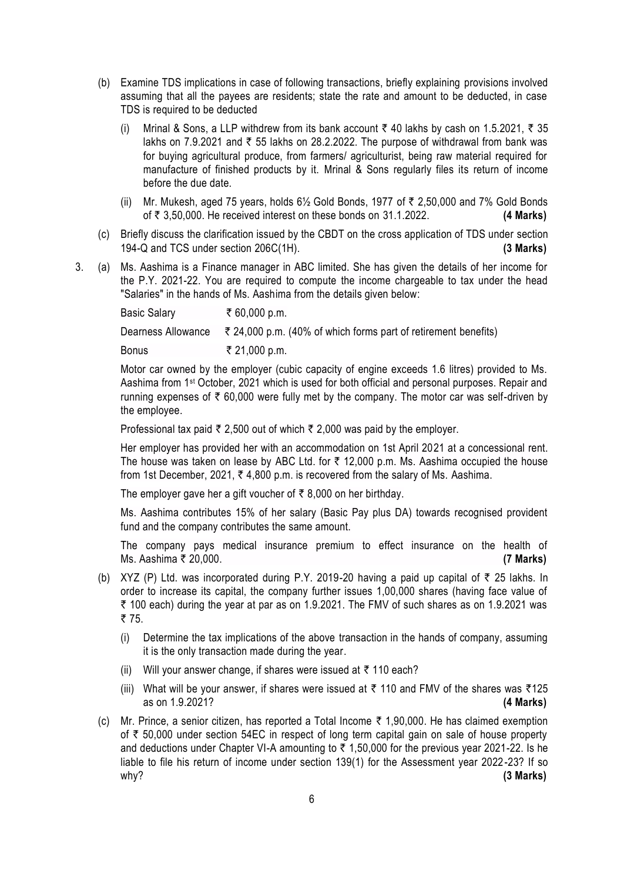- (b) Examine TDS implications in case of following transactions, briefly explaining provisions involved assuming that all the payees are residents; state the rate and amount to be deducted, in case TDS is required to be deducted
	- (i) Mrinal & Sons, a LLP withdrew from its bank account  $\bar{\tau}$  40 lakhs by cash on 1.5.2021,  $\bar{\tau}$  35 lakhs on 7.9.2021 and  $\overline{\tau}$  55 lakhs on 28.2.2022. The purpose of withdrawal from bank was for buying agricultural produce, from farmers/ agriculturist, being raw material required for manufacture of finished products by it. Mrinal & Sons regularly files its return of income before the due date.
	- (ii) Mr. Mukesh, aged 75 years, holds  $6\frac{1}{2}$  Gold Bonds, 1977 of  $\bar{\tau}$  2,50,000 and 7% Gold Bonds of ` 3,50,000. He received interest on these bonds on 31.1.2022. **(4 Marks)**
- (c) Briefly discuss the clarification issued by the CBDT on the cross application of TDS under section 194-Q and TCS under section 206C(1H). **(3 Marks)**
- 3. (a) Ms. Aashima is a Finance manager in ABC limited. She has given the details of her income for the P.Y. 2021-22. You are required to compute the income chargeable to tax under the head "Salaries" in the hands of Ms. Aashima from the details given below:

| <b>Basic Salary</b> | ₹ 60,000 p.m.                                                  |
|---------------------|----------------------------------------------------------------|
| Dearness Allowance  | ₹ 24,000 p.m. (40% of which forms part of retirement benefits) |
| <b>Bonus</b>        | ₹ 21,000 p.m.                                                  |

Motor car owned by the employer (cubic capacity of engine exceeds 1.6 litres) provided to Ms. Aashima from 1st October, 2021 which is used for both official and personal purposes. Repair and running expenses of  $\bar{\tau}$  60,000 were fully met by the company. The motor car was self-driven by the employee.

Professional tax paid  $\overline{\tau}$  2,500 out of which  $\overline{\tau}$  2,000 was paid by the employer.

Her employer has provided her with an accommodation on 1st April 2021 at a concessional rent. The house was taken on lease by ABC Ltd. for  $\bar{\tau}$  12,000 p.m. Ms. Aashima occupied the house from 1st December, 2021,  $\bar{\tau}$  4,800 p.m. is recovered from the salary of Ms. Aashima.

The employer gave her a gift voucher of  $\bar{\tau}$  8,000 on her birthday.

Ms. Aashima contributes 15% of her salary (Basic Pay plus DA) towards recognised provident fund and the company contributes the same amount.

The company pays medical insurance premium to effect insurance on the health of Ms. Aashima ` 20,000. **(7 Marks)**

- (b) XYZ (P) Ltd. was incorporated during P.Y. 2019-20 having a paid up capital of  $\bar{\tau}$  25 lakhs. In order to increase its capital, the company further issues 1,00,000 shares (having face value of  $\bar{\tau}$  100 each) during the year at par as on 1.9.2021. The FMV of such shares as on 1.9.2021 was ₹75.
	- (i) Determine the tax implications of the above transaction in the hands of company, assuming it is the only transaction made during the year.
	- (ii) Will your answer change, if shares were issued at  $\bar{\tau}$  110 each?
	- (iii) What will be your answer, if shares were issued at  $\bar{\tau}$  110 and FMV of the shares was  $\bar{\tau}$ 125 as on 1.9.2021? **(4 Marks)**
- (c) Mr. Prince, a senior citizen, has reported a Total Income  $\bar{\tau}$  1,90,000. He has claimed exemption of  $\bar{\tau}$  50,000 under section 54EC in respect of long term capital gain on sale of house property and deductions under Chapter VI-A amounting to  $\bar{\tau}$  1,50,000 for the previous year 2021-22. Is he liable to file his return of income under section 139(1) for the Assessment year 2022-23? If so why? **(3 Marks)**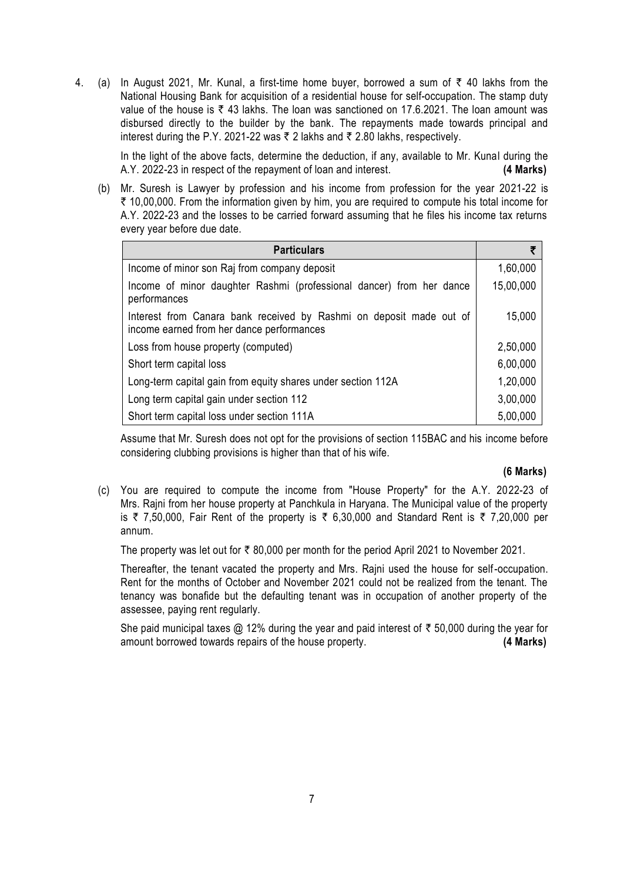4. (a) In August 2021, Mr. Kunal, a first-time home buyer, borrowed a sum of  $\bar{\tau}$  40 lakhs from the National Housing Bank for acquisition of a residential house for self-occupation. The stamp duty value of the house is  $\bar{\tau}$  43 lakhs. The loan was sanctioned on 17.6.2021. The loan amount was disbursed directly to the builder by the bank. The repayments made towards principal and interest during the P.Y. 2021-22 was  $\bar{\tau}$  2 lakhs and  $\bar{\tau}$  2.80 lakhs, respectively.

In the light of the above facts, determine the deduction, if any, available to Mr. Kunal during the A.Y. 2022-23 in respect of the repayment of loan and interest. **(4 Marks)**

(b) Mr. Suresh is Lawyer by profession and his income from profession for the year 2021-22 is  $\bar{\tau}$  10,00,000. From the information given by him, you are required to compute his total income for A.Y. 2022-23 and the losses to be carried forward assuming that he files his income tax returns every year before due date.

| <b>Particulars</b>                                                                                               |           |
|------------------------------------------------------------------------------------------------------------------|-----------|
| Income of minor son Raj from company deposit                                                                     | 1,60,000  |
| Income of minor daughter Rashmi (professional dancer) from her dance<br>performances                             | 15,00,000 |
| Interest from Canara bank received by Rashmi on deposit made out of<br>income earned from her dance performances | 15,000    |
| Loss from house property (computed)                                                                              | 2,50,000  |
| Short term capital loss                                                                                          | 6,00,000  |
| Long-term capital gain from equity shares under section 112A                                                     | 1,20,000  |
| Long term capital gain under section 112                                                                         | 3,00,000  |
| Short term capital loss under section 111A                                                                       | 5,00,000  |

Assume that Mr. Suresh does not opt for the provisions of section 115BAC and his income before considering clubbing provisions is higher than that of his wife.

#### **(6 Marks)**

(c) You are required to compute the income from "House Property" for the A.Y. 2022-23 of Mrs. Rajni from her house property at Panchkula in Haryana. The Municipal value of the property is ₹ 7,50,000, Fair Rent of the property is ₹ 6,30,000 and Standard Rent is ₹ 7,20,000 per annum.

The property was let out for  $\bar{\tau}$  80,000 per month for the period April 2021 to November 2021.

Thereafter, the tenant vacated the property and Mrs. Rajni used the house for self-occupation. Rent for the months of October and November 2021 could not be realized from the tenant. The tenancy was bonafide but the defaulting tenant was in occupation of another property of the assessee, paying rent regularly.

She paid municipal taxes  $@12\%$  during the year and paid interest of  $\bar{\tau}$  50,000 during the year for amount borrowed towards repairs of the house property. **(4 Marks)**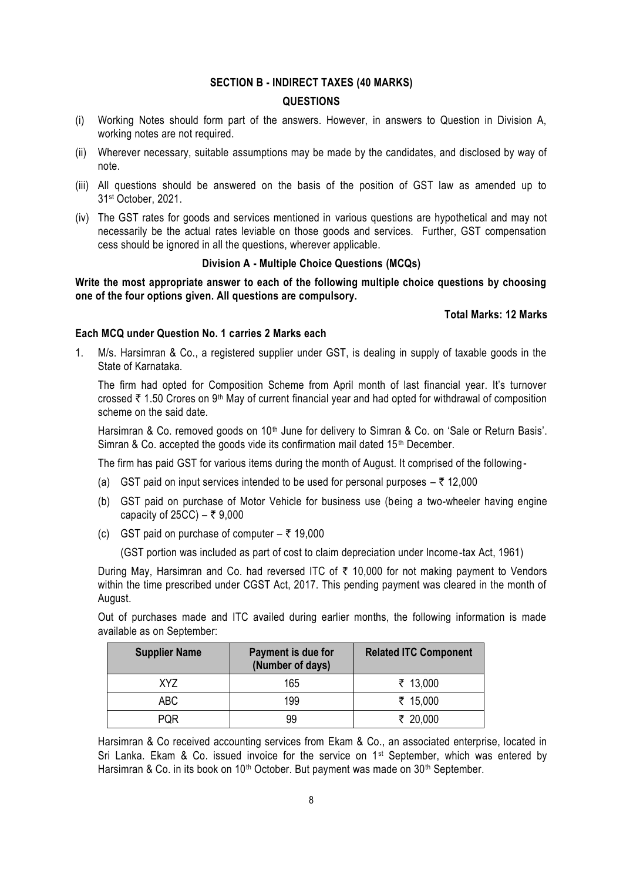#### **SECTION B - INDIRECT TAXES (40 MARKS)**

#### **QUESTIONS**

- (i) Working Notes should form part of the answers. However, in answers to Question in Division A, working notes are not required.
- (ii) Wherever necessary, suitable assumptions may be made by the candidates, and disclosed by way of note.
- (iii) All questions should be answered on the basis of the position of GST law as amended up to 31 st October, 2021.
- (iv) The GST rates for goods and services mentioned in various questions are hypothetical and may not necessarily be the actual rates leviable on those goods and services. Further, GST compensation cess should be ignored in all the questions, wherever applicable.

#### **Division A - Multiple Choice Questions (MCQs)**

**Write the most appropriate answer to each of the following multiple choice questions by choosing one of the four options given. All questions are compulsory.**

## **Total Marks: 12 Marks**

#### **Each MCQ under Question No. 1 carries 2 Marks each**

1. M/s. Harsimran & Co., a registered supplier under GST, is dealing in supply of taxable goods in the State of Karnataka.

The firm had opted for Composition Scheme from April month of last financial year. It's turnover crossed  $\bar{\tau}$  1.50 Crores on 9<sup>th</sup> May of current financial year and had opted for withdrawal of composition scheme on the said date.

Harsimran & Co. removed goods on 10<sup>th</sup> June for delivery to Simran & Co. on 'Sale or Return Basis'. Simran & Co. accepted the goods vide its confirmation mail dated 15<sup>th</sup> December.

The firm has paid GST for various items during the month of August. It comprised of the following -

- (a) GST paid on input services intended to be used for personal purposes  $-\bar{\tau}$  12,000
- (b) GST paid on purchase of Motor Vehicle for business use (being a two-wheeler having engine capacity of 25CC) –  $\overline{z}$  9,000
- (c) GST paid on purchase of computer  $-\bar{z}$  19,000

(GST portion was included as part of cost to claim depreciation under Income-tax Act, 1961)

During May, Harsimran and Co. had reversed ITC of  $\bar{\tau}$  10,000 for not making payment to Vendors within the time prescribed under CGST Act, 2017. This pending payment was cleared in the month of August.

Out of purchases made and ITC availed during earlier months, the following information is made available as on September:

| <b>Supplier Name</b> | Payment is due for<br>(Number of days) | <b>Related ITC Component</b> |
|----------------------|----------------------------------------|------------------------------|
| XY7                  | 165                                    | ₹ 13,000                     |
| ABC                  | 199                                    | ₹ 15,000                     |
| POR                  | 99                                     | ₹ 20,000                     |

Harsimran & Co received accounting services from Ekam & Co., an associated enterprise, located in Sri Lanka. Ekam & Co. issued invoice for the service on 1<sup>st</sup> September, which was entered by Harsimran & Co. in its book on 10<sup>th</sup> October. But payment was made on  $30<sup>th</sup>$  September.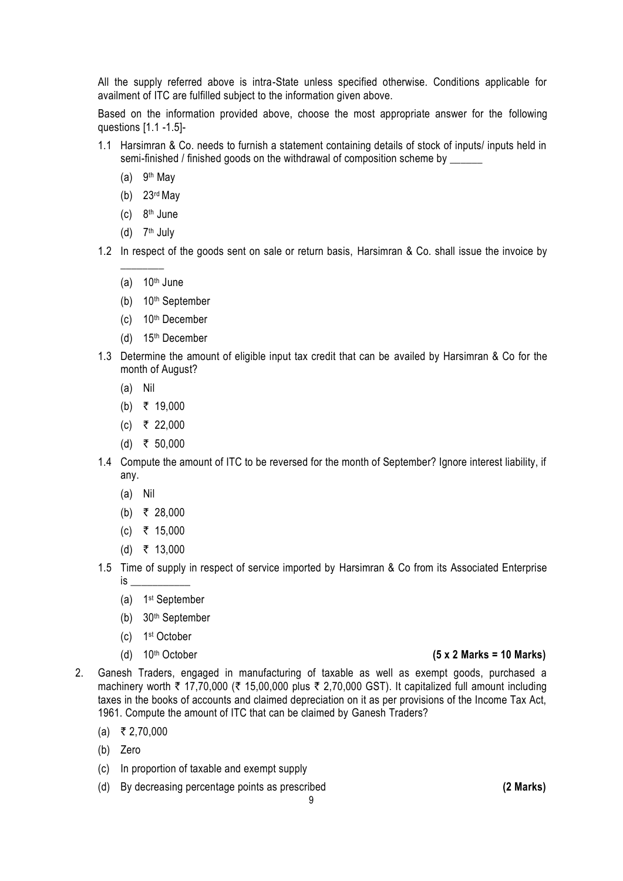All the supply referred above is intra-State unless specified otherwise. Conditions applicable for availment of ITC are fulfilled subject to the information given above.

Based on the information provided above, choose the most appropriate answer for the following questions [1.1 -1.5]-

- 1.1 Harsimran & Co. needs to furnish a statement containing details of stock of inputs/ inputs held in semi-finished / finished goods on the withdrawal of composition scheme by \_\_\_\_\_
	- (a)  $9<sup>th</sup>$  May
	- (b) 23rd May
	- $(c)$  8<sup>th</sup> June
	- (d)  $7<sup>th</sup>$  July

 $\overline{\phantom{a}}$ 

- 1.2 In respect of the goods sent on sale or return basis, Harsimran & Co. shall issue the invoice by
	- (a)  $10<sup>th</sup>$  June
	- (b) 10th September
	- (c) 10th December
	- (d) 15th December
- 1.3 Determine the amount of eligible input tax credit that can be availed by Harsimran & Co for the month of August?
	- (a) Nil
	- (b) ₹ 19,000
	- $(c)$  ₹ 22,000
	- (d) ₹ 50,000
- 1.4 Compute the amount of ITC to be reversed for the month of September? Ignore interest liability, if any.
	- (a) Nil
	- (b) ₹ 28,000
	- $(c)$  ₹ 15,000
	- (d) ₹ 13,000
- 1.5 Time of supply in respect of service imported by Harsimran & Co from its Associated Enterprise  $is$   $\overline{\phantom{a}}$ 
	- (a) 1 st September
	- (b) 30th September
	- (c) 1 st October
	-

## (d) 10th October **(5 x 2 Marks = 10 Marks)**

- 2. Ganesh Traders, engaged in manufacturing of taxable as well as exempt goods, purchased a machinery worth  $\bar{\tau}$  17,70,000 ( $\bar{\tau}$  15,00,000 plus  $\bar{\tau}$  2,70,000 GST). It capitalized full amount including taxes in the books of accounts and claimed depreciation on it as per provisions of the Income Tax Act, 1961. Compute the amount of ITC that can be claimed by Ganesh Traders?
	- $(a) \quad \overline{5} \quad 2,70,000$
	- (b) Zero
	- (c) In proportion of taxable and exempt supply
	- (d) By decreasing percentage points as prescribed **(2 Marks)**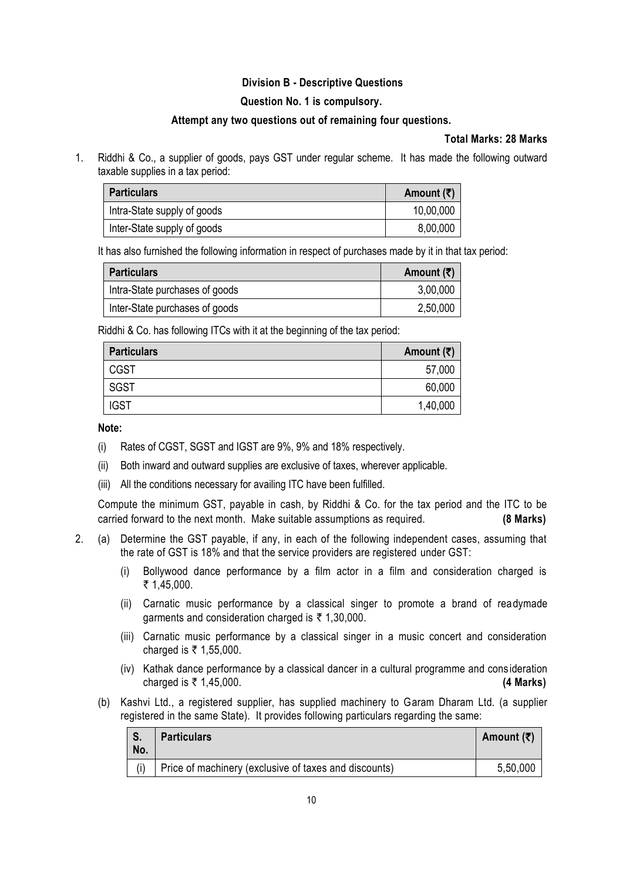# **Division B - Descriptive Questions**

# **Question No. 1 is compulsory.**

## **Attempt any two questions out of remaining four questions.**

# **Total Marks: 28 Marks**

1. Riddhi & Co., a supplier of goods, pays GST under regular scheme. It has made the following outward taxable supplies in a tax period:

| <b>Particulars</b>          | Amount $(\bar{\bar{\zeta}})$ |
|-----------------------------|------------------------------|
| Intra-State supply of goods | 10,00,000                    |
| Inter-State supply of goods | 8,00,000                     |

It has also furnished the following information in respect of purchases made by it in that tax period:

| <b>Particulars</b>             | Amount $(\bar{\bar{\zeta}})$ |
|--------------------------------|------------------------------|
| Intra-State purchases of goods | 3,00,000                     |
| Inter-State purchases of goods | 2,50,000                     |

Riddhi & Co. has following ITCs with it at the beginning of the tax period:

| <b>Particulars</b> | Amount $(\overline{\tau})$ |
|--------------------|----------------------------|
| <b>CGST</b>        | 57,000                     |
| SGST               | 60,000                     |
| <b>IGST</b>        | 1,40,000                   |

**Note:** 

- (i) Rates of CGST, SGST and IGST are 9%, 9% and 18% respectively.
- (ii) Both inward and outward supplies are exclusive of taxes, wherever applicable.
- (iii) All the conditions necessary for availing ITC have been fulfilled.

Compute the minimum GST, payable in cash, by Riddhi & Co. for the tax period and the ITC to be carried forward to the next month. Make suitable assumptions as required. **(8 Marks)**

- 2. (a) Determine the GST payable, if any, in each of the following independent cases, assuming that the rate of GST is 18% and that the service providers are registered under GST:
	- (i) Bollywood dance performance by a film actor in a film and consideration charged is  $\bar{\tau}$  1,45,000.
	- (ii) Carnatic music performance by a classical singer to promote a brand of readymade garments and consideration charged is  $\bar{\tau}$  1,30,000.
	- (iii) Carnatic music performance by a classical singer in a music concert and consideration charged is  $\bar{\tau}$  1,55,000.
	- (iv) Kathak dance performance by a classical dancer in a cultural programme and cons ideration charged is ` 1,45,000. **(4 Marks)**
	- (b) Kashvi Ltd., a registered supplier, has supplied machinery to Garam Dharam Ltd. (a supplier registered in the same State). It provides following particulars regarding the same:

| No. | <b>Particulars</b>                                    | Amount $(\bar{\bar{\mathbf{x}}})$ |
|-----|-------------------------------------------------------|-----------------------------------|
|     | Price of machinery (exclusive of taxes and discounts) | 5,50,000                          |